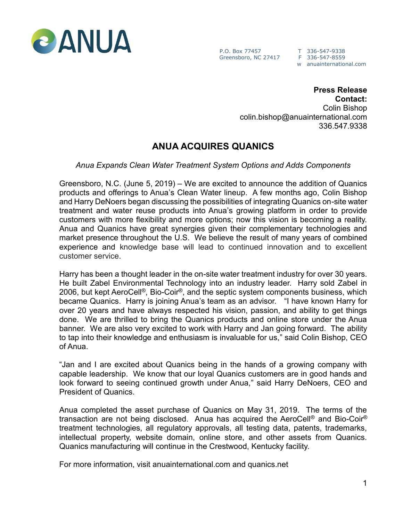

P.O. Box 77457 T 336-547-9338 Greensboro, NC 27417 F 336-547-8559

w anuainternational.com

**Press Release Contact:** Colin Bishop colin.bishop@anuainternational.com 336.547.9338

## **ANUA ACQUIRES QUANICS**

*Anua Expands Clean Water Treatment System Options and Adds Components*

Greensboro, N.C. (June 5, 2019) – We are excited to announce the addition of Quanics products and offerings to Anua's Clean Water lineup. A few months ago, Colin Bishop and Harry DeNoers began discussing the possibilities of integrating Quanics on-site water treatment and water reuse products into Anua's growing platform in order to provide customers with more flexibility and more options; now this vision is becoming a reality. Anua and Quanics have great synergies given their complementary technologies and market presence throughout the U.S. We believe the result of many years of combined experience and knowledge base will lead to continued innovation and to excellent customer service.

Harry has been a thought leader in the on-site water treatment industry for over 30 years. He built Zabel Environmental Technology into an industry leader. Harry sold Zabel in 2006, but kept AeroCell®, Bio-Coir®, and the septic system components business, which became Quanics. Harry is joining Anua's team as an advisor. "I have known Harry for over 20 years and have always respected his vision, passion, and ability to get things done. We are thrilled to bring the Quanics products and online store under the Anua banner. We are also very excited to work with Harry and Jan going forward. The ability to tap into their knowledge and enthusiasm is invaluable for us," said Colin Bishop, CEO of Anua.

"Jan and I are excited about Quanics being in the hands of a growing company with capable leadership. We know that our loyal Quanics customers are in good hands and look forward to seeing continued growth under Anua," said Harry DeNoers, CEO and President of Quanics.

Anua completed the asset purchase of Quanics on May 31, 2019. The terms of the transaction are not being disclosed. Anua has acquired the AeroCell<sup>®</sup> and Bio-Coir<sup>®</sup> treatment technologies, all regulatory approvals, all testing data, patents, trademarks, intellectual property, website domain, online store, and other assets from Quanics. Quanics manufacturing will continue in the Crestwood, Kentucky facility.

For more information, visit anuainternational.com and quanics.net